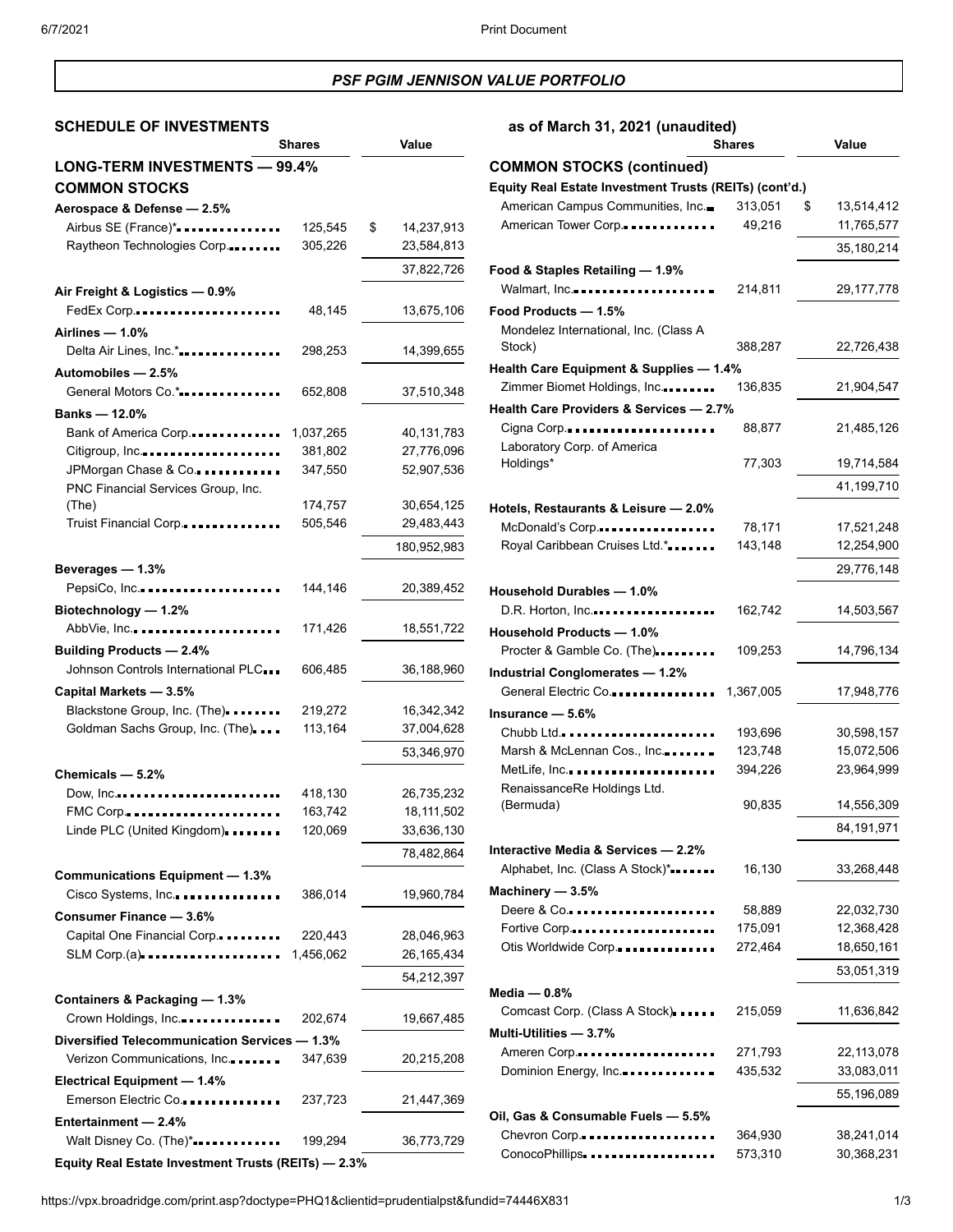## *PSF PGIM JENNISON VALUE PORTFOLIO*

# **SCHEDULE OF INVESTMENTS as of March 31, 2021 (unaudited)**

|                                                     | <b>Shares</b> | Value            |
|-----------------------------------------------------|---------------|------------------|
| LONG-TERM INVESTMENTS - 99.4%                       |               |                  |
| <b>COMMON STOCKS</b>                                |               |                  |
| Aerospace & Defense - 2.5%                          |               |                  |
| Airbus SE (France)*                                 | 125,545       | \$<br>14,237,913 |
| Raytheon Technologies Corp.                         | 305,226       | 23,584,813       |
|                                                     |               |                  |
|                                                     |               | 37,822,726       |
| Air Freight & Logistics - 0.9%                      |               |                  |
| FedEx Corp                                          | 48,145        | 13,675,106       |
| Airlines - 1.0%                                     |               |                  |
| Delta Air Lines, Inc.*                              | 298,253       | 14,399,655       |
| Automobiles - 2.5%                                  |               |                  |
| General Motors Co.*                                 | 652,808       | 37,510,348       |
| Banks - 12.0%                                       |               |                  |
| Bank of America Corp                                | 1,037,265     | 40,131,783       |
| Citigroup, Inc                                      | 381,802       | 27,776,096       |
| JPMorgan Chase & Co.                                | 347,550       | 52,907,536       |
| PNC Financial Services Group, Inc.                  |               |                  |
| (The)                                               | 174,757       | 30,654,125       |
| Truist Financial Corp.                              | 505,546       | 29,483,443       |
|                                                     |               | 180,952,983      |
|                                                     |               |                  |
| Beverages - 1.3%                                    |               |                  |
| PepsiCo, Inc                                        | 144,146       | 20,389,452       |
| Biotechnology - 1.2%                                |               |                  |
| AbbVie, Inc                                         | 171,426       | 18,551,722       |
| <b>Building Products - 2.4%</b>                     |               |                  |
| Johnson Controls International PLC                  | 606,485       | 36,188,960       |
| Capital Markets - 3.5%                              |               |                  |
| Blackstone Group, Inc. (The).                       | 219,272       | 16,342,342       |
| Goldman Sachs Group, Inc. (The)                     | 113,164       | 37,004,628       |
|                                                     |               | 53,346,970       |
| Chemicals - 5.2%                                    |               |                  |
| Dow, Inc                                            | 418,130       | 26,735,232       |
| FMC Corp                                            | 163,742       | 18,111,502       |
| Linde PLC (United Kingdom).                         | 120,069       | 33,636,130       |
|                                                     |               |                  |
|                                                     |               | 78,482,864       |
| <b>Communications Equipment - 1.3%</b>              |               |                  |
| Cisco Systems, Inc.                                 | 386,014       | 19,960,784       |
| Consumer Finance - 3.6%                             |               |                  |
| Capital One Financial Corp.                         | 220,443       | 28,046,963       |
| $SLM$ Corp.(a)                                      | 1,456,062     | 26,165,434       |
|                                                     |               | 54,212,397       |
| Containers & Packaging - 1.3%                       |               |                  |
| Crown Holdings, Inc                                 | 202,674       | 19,667,485       |
| Diversified Telecommunication Services - 1.3%       |               |                  |
|                                                     |               |                  |
| Verizon Communications, Inc                         | 347,639       | 20,215,208       |
| Electrical Equipment - 1.4%                         |               |                  |
| Emerson Electric Co.                                | 237,723       | 21,447,369       |
| Entertainment - 2.4%                                |               |                  |
| Walt Disney Co. (The)*                              | 199,294       | 36,773,729       |
| Equity Real Estate Investment Trusts (REITs) - 2.3% |               |                  |

|                                                        | <b>Shares</b>      | Value                    |
|--------------------------------------------------------|--------------------|--------------------------|
| <b>COMMON STOCKS (continued)</b>                       |                    |                          |
| Equity Real Estate Investment Trusts (REITs) (cont'd.) |                    |                          |
| American Campus Communities, Inc.                      | 313,051            | 13,514,412<br>\$         |
| American Tower Corp.                                   | 49,216             | 11,765,577               |
|                                                        |                    | 35,180,214               |
| Food & Staples Retailing - 1.9%                        |                    |                          |
| Walmart, Inc                                           | 214,811            | 29,177,778               |
| Food Products - 1.5%                                   |                    |                          |
| Mondelez International, Inc. (Class A                  |                    |                          |
| Stock)                                                 | 388,287            | 22,726,438               |
| Health Care Equipment & Supplies — 1.4%                |                    |                          |
| Zimmer Biomet Holdings, Inc                            | 136,835            | 21,904,547               |
| Health Care Providers & Services - 2.7%                |                    |                          |
| Cigna Corp                                             | 88,877             | 21,485,126               |
| Laboratory Corp. of America                            |                    |                          |
| Holdings*                                              | 77,303             | 19,714,584               |
|                                                        |                    | 41,199,710               |
| Hotels, Restaurants & Leisure - 2.0%                   |                    |                          |
| McDonald's Corp                                        | 78,171             | 17,521,248               |
| Royal Caribbean Cruises Ltd.*                          | 143,148            | 12,254,900               |
|                                                        |                    | 29,776,148               |
| Household Durables - 1.0%                              |                    |                          |
| $D.R.$ Horton, Inc                                     | 162,742            | 14,503,567               |
| <b>Household Products - 1.0%</b>                       |                    |                          |
| Procter & Gamble Co. (The)                             | 109,253            | 14,796,134               |
| <b>Industrial Conglomerates - 1.2%</b>                 |                    |                          |
| General Electric Co                                    | 1,367,005          | 17,948,776               |
| Insurance - 5.6%                                       |                    |                          |
| Chubb Ltd                                              | 193,696            | 30,598,157               |
| Marsh & McLennan Cos., Inc                             | 123,748            | 15,072,506               |
| MetLife, Inc                                           | 394,226            | 23,964,999               |
| RenaissanceRe Holdings Ltd.                            |                    |                          |
| (Bermuda)                                              | 90,835             | 14,556,309               |
|                                                        |                    | 84,191,971               |
| Interactive Media & Services - 2.2%                    |                    |                          |
| Alphabet, Inc. (Class A Stock)*                        | 16,130             | 33,268,448               |
| Machinery - 3.5%                                       |                    |                          |
| Deere $& Co.$                                          | 58,889             | 22,032,730               |
| Fortive Corp                                           | 175,091            | 12,368,428               |
| Otis Worldwide Corp.                                   | 272,464            | 18,650,161               |
|                                                        |                    | 53,051,319               |
| Media — 0.8%                                           |                    |                          |
| Comcast Corp. (Class A Stock)                          | 215,059            | 11,636,842               |
| Multi-Utilities - 3.7%                                 |                    |                          |
|                                                        |                    |                          |
| Ameren Corp<br>Dominion Energy, Inc.                   | 271,793<br>435,532 | 22,113,078<br>33,083,011 |
|                                                        |                    |                          |
|                                                        |                    | 55,196,089               |
| Oil, Gas & Consumable Fuels - 5.5%                     |                    |                          |
| Chevron Corp                                           | 364,930            | 38,241,014               |
| ConocoPhillips                                         | 573,310            | 30,368,231               |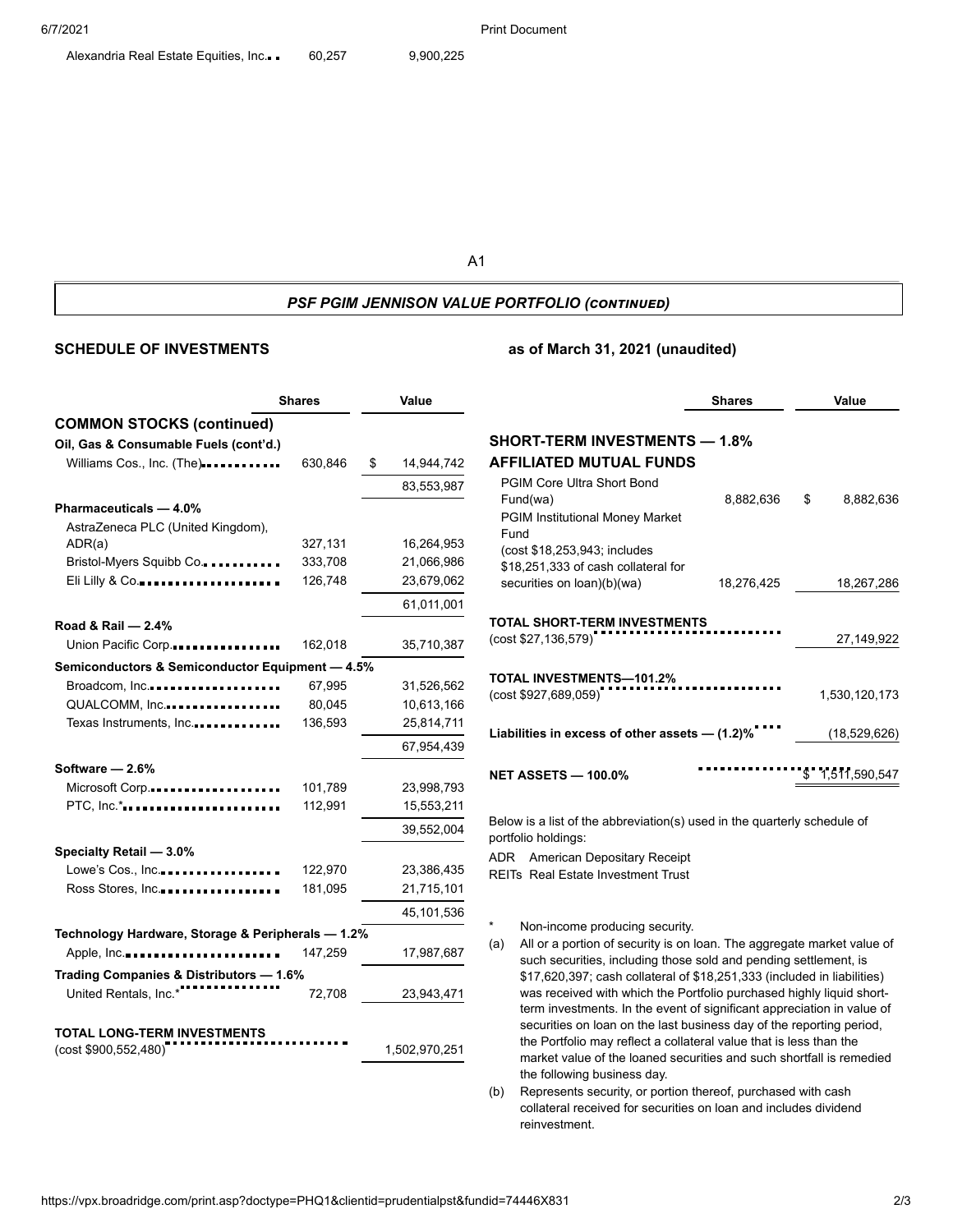A1

#### *PSF PGIM JENNISON VALUE PORTFOLIO (continued)*

### **SCHEDULE OF INVESTMENTS as of March 31, 2021 (unaudited)**

|                                                            | <b>Shares</b> | Value            |  |
|------------------------------------------------------------|---------------|------------------|--|
| <b>COMMON STOCKS (continued)</b>                           |               |                  |  |
| Oil, Gas & Consumable Fuels (cont'd.)                      |               |                  |  |
| Williams Cos., Inc. (The)                                  | 630,846       | \$<br>14,944,742 |  |
|                                                            |               | 83,553,987       |  |
| Pharmaceuticals - 4.0%                                     |               |                  |  |
| AstraZeneca PLC (United Kingdom),                          |               |                  |  |
| ADR(a)                                                     | 327,131       | 16,264,953       |  |
| Bristol-Myers Squibb Co                                    | 333,708       | 21,066,986       |  |
| Eli Lilly & Co                                             | 126,748       | 23,679,062       |  |
|                                                            |               | 61,011,001       |  |
| Road & Rail - 2.4%                                         |               |                  |  |
| Union Pacific Corp                                         | 162,018       | 35,710,387       |  |
| Semiconductors & Semiconductor Equipment - 4.5%            |               |                  |  |
| Broadcom, Inc.                                             | 67,995        | 31,526,562       |  |
| QUALCOMM, Inc                                              | 80,045        | 10,613,166       |  |
| Texas Instruments, Inc                                     | 136,593       | 25,814,711       |  |
|                                                            |               | 67,954,439       |  |
| Software - 2.6%                                            |               |                  |  |
| Microsoft Corp                                             | 101,789       | 23,998,793       |  |
| PTC, Inc.*                                                 | 112,991       | 15,553,211       |  |
|                                                            |               | 39,552,004       |  |
| Specialty Retail - 3.0%                                    |               |                  |  |
| Lowe's Cos., Inc                                           | 122,970       | 23,386,435       |  |
| Ross Stores, Inc                                           | 181,095       | 21,715,101       |  |
|                                                            |               | 45,101,536       |  |
| Technology Hardware, Storage & Peripherals - 1.2%          |               |                  |  |
| Apple, Inc                                                 | 147,259       | 17,987,687       |  |
| Trading Companies & Distributors - 1.6%                    |               |                  |  |
| United Rentals, Inc.*                                      | 72,708        | 23,943,471       |  |
|                                                            |               |                  |  |
| <b>TOTAL LONG-TERM INVESTMENTS</b><br>(cost \$900,552,480) |               | 1,502,970,251    |  |
|                                                            |               |                  |  |

| SHORT-TERM INVESTMENTS — 1.8%                                     |            |    |                 |  |  |  |  |
|-------------------------------------------------------------------|------------|----|-----------------|--|--|--|--|
| AFFILIATED MUTUAL FUNDS                                           |            |    |                 |  |  |  |  |
| <b>PGIM Core Ultra Short Bond</b>                                 |            |    |                 |  |  |  |  |
| Fund(wa)                                                          | 8,882,636  | \$ | 8,882,636       |  |  |  |  |
| <b>PGIM Institutional Money Market</b>                            |            |    |                 |  |  |  |  |
| Fund                                                              |            |    |                 |  |  |  |  |
| (cost \$18,253,943; includes                                      |            |    |                 |  |  |  |  |
| \$18,251,333 of cash collateral for<br>securities on loan)(b)(wa) | 18,276,425 |    |                 |  |  |  |  |
|                                                                   |            |    | 18,267,286      |  |  |  |  |
|                                                                   |            |    |                 |  |  |  |  |
| TOTAL SHORT-TERM INVESTMENTS<br>(cost \$27,136,579)               |            |    | 27,149,922      |  |  |  |  |
|                                                                   |            |    |                 |  |  |  |  |
|                                                                   |            |    |                 |  |  |  |  |
| TOTAL INVESTMENTS—101.2%<br>(cost \$927,689,059)                  |            |    | 1,530,120,173   |  |  |  |  |
|                                                                   |            |    |                 |  |  |  |  |
| Liabilities in excess of other assets $-$ (1.2)%                  |            |    | (18,529,626)    |  |  |  |  |
|                                                                   |            |    |                 |  |  |  |  |
|                                                                   |            |    |                 |  |  |  |  |
| <b>NET ASSETS — 100.0%</b>                                        |            |    | \$1,511,590,547 |  |  |  |  |

**Shares Value**

Below is a list of the abbreviation(s) used in the quarterly schedule of portfolio holdings:

ADR American Depositary Receipt REITs Real Estate Investment Trust

Non-income producing security.

- (a) All or a portion of security is on loan. The aggregate market value of such securities, including those sold and pending settlement, is \$17,620,397; cash collateral of \$18,251,333 (included in liabilities) was received with which the Portfolio purchased highly liquid shortterm investments. In the event of significant appreciation in value of securities on loan on the last business day of the reporting period, the Portfolio may reflect a collateral value that is less than the market value of the loaned securities and such shortfall is remedied the following business day.
- (b) Represents security, or portion thereof, purchased with cash collateral received for securities on loan and includes dividend reinvestment.